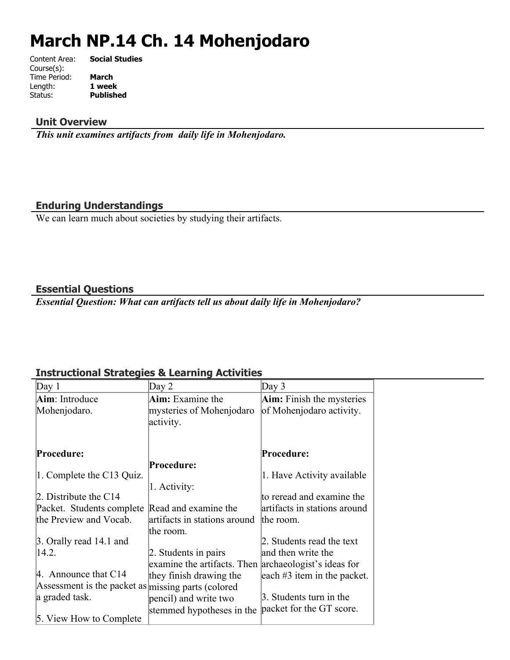# **March NP.14 Ch. 14 Mohenjodaro**

| Content Area: | <b>Social Studies</b> |
|---------------|-----------------------|
| Course(s):    |                       |
| Time Period:  | March                 |
| Length:       | 1 week                |
| Status:       | <b>Published</b>      |
|               |                       |

## **Unit Overview**

*This unit examines artifacts from daily life in Mohenjodaro.*

# **Enduring Understandings**

We can learn much about societies by studying their artifacts.

## **Essential Questions**

*Essential Question: What can artifacts tell us about daily life in Mohenjodaro?*

# **Instructional Strategies & Learning Activities**

| Day $1$                                            | Day 2                                                 | Day $3$                          |
|----------------------------------------------------|-------------------------------------------------------|----------------------------------|
| Aim: Introduce                                     | Aim: Examine the                                      | <b>Aim:</b> Finish the mysteries |
| Mohenjodaro.                                       | mysteries of Mohenjodaro                              | of Mohenjodaro activity.         |
|                                                    | activity.                                             |                                  |
|                                                    |                                                       |                                  |
| Procedure:                                         |                                                       | Procedure:                       |
|                                                    | Procedure:                                            |                                  |
| 1. Complete the C13 Quiz.                          |                                                       | 1. Have Activity available       |
|                                                    | 1. Activity:                                          |                                  |
| 2. Distribute the $C14$                            |                                                       | to reread and examine the        |
| Packet. Students complete Read and examine the     |                                                       | artifacts in stations around     |
| the Preview and Vocab.                             | artifacts in stations around                          | the room.                        |
|                                                    | the room.                                             |                                  |
| $\beta$ . Orally read 14.1 and                     |                                                       | 2. Students read the text        |
| 14.2.                                              | 2. Students in pairs                                  | and then write the               |
|                                                    | examine the artifacts. Then archaeologist's ideas for |                                  |
| 4. Announce that C14                               | they finish drawing the                               | each $#3$ item in the packet.    |
| Assessment is the packet as missing parts (colored |                                                       |                                  |
| a graded task.                                     | pencil) and write two                                 | 3. Students turn in the          |
|                                                    | stemmed hypotheses in the                             | packet for the GT score.         |
| 5. View How to Complete                            |                                                       |                                  |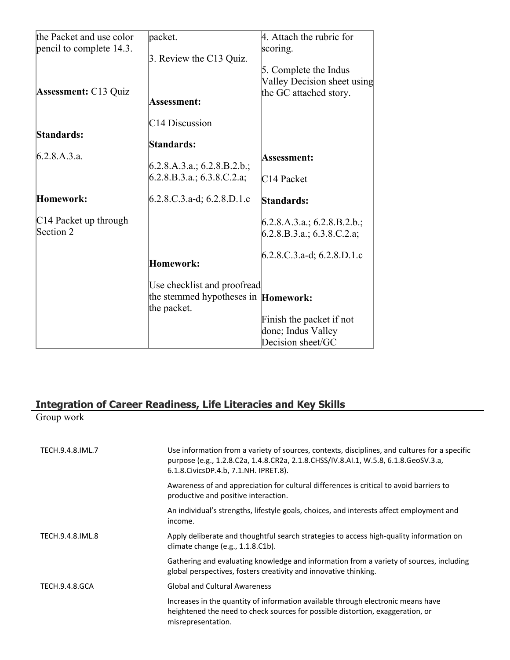| the Packet and use color    | packet.                                    | 4. Attach the rubric for                       |
|-----------------------------|--------------------------------------------|------------------------------------------------|
| pencil to complete 14.3.    | 3. Review the C13 Quiz.                    | scoring.                                       |
|                             |                                            | 5. Complete the Indus                          |
|                             |                                            | Valley Decision sheet using                    |
| <b>Assessment: C13 Quiz</b> | <b>Assessment:</b>                         | the GC attached story.                         |
|                             | C <sub>14</sub> Discussion                 |                                                |
| Standards:                  |                                            |                                                |
|                             | Standards:                                 |                                                |
| 6.2.8.A.3.a.                | 6.2.8.A.3.a.; 6.2.8.B.2.b.;                | Assessment:                                    |
|                             | 6.2.8.B.3.a.; 6.3.8.C.2.a;                 | C <sub>14</sub> Packet                         |
| Homework:                   | $6.2.8$ .C.3.a-d; 6.2.8.D.1.c              | Standards:                                     |
| $C14$ Packet up through     |                                            | 6.2.8.A.3.a.; 6.2.8.B.2.b.;                    |
| Section 2                   |                                            | (6.2.8.B.3.a.; 6.3.8.C.2.a;                    |
|                             |                                            | $6.2.8$ .C.3.a-d; 6.2.8.D.1.c                  |
|                             | <b>Homework:</b>                           |                                                |
|                             | Use checklist and proofread                |                                                |
|                             | the stemmed hypotheses in <b>Homework:</b> |                                                |
|                             | the packet.                                |                                                |
|                             |                                            | Finish the packet if not<br>done; Indus Valley |
|                             |                                            | Decision sheet/GC                              |

# **Integration of Career Readiness, Life Literacies and Key Skills**

Group work

| TECH.9.4.8.IML.7 | Use information from a variety of sources, contexts, disciplines, and cultures for a specific<br>purpose (e.g., 1.2.8.C2a, 1.4.8.CR2a, 2.1.8.CHSS/IV.8.AI.1, W.5.8, 6.1.8.GeoSV.3.a,<br>6.1.8. Civics DP.4.b, 7.1. NH. IPRET.8). |
|------------------|----------------------------------------------------------------------------------------------------------------------------------------------------------------------------------------------------------------------------------|
|                  | Awareness of and appreciation for cultural differences is critical to avoid barriers to<br>productive and positive interaction.                                                                                                  |
|                  | An individual's strengths, lifestyle goals, choices, and interests affect employment and<br>income.                                                                                                                              |
| TECH.9.4.8.IML.8 | Apply deliberate and thoughtful search strategies to access high-quality information on<br>climate change (e.g., 1.1.8.C1b).                                                                                                     |
|                  | Gathering and evaluating knowledge and information from a variety of sources, including<br>global perspectives, fosters creativity and innovative thinking.                                                                      |
| TECH.9.4.8.GCA   | <b>Global and Cultural Awareness</b>                                                                                                                                                                                             |
|                  | Increases in the quantity of information available through electronic means have<br>heightened the need to check sources for possible distortion, exaggeration, or<br>misrepresentation.                                         |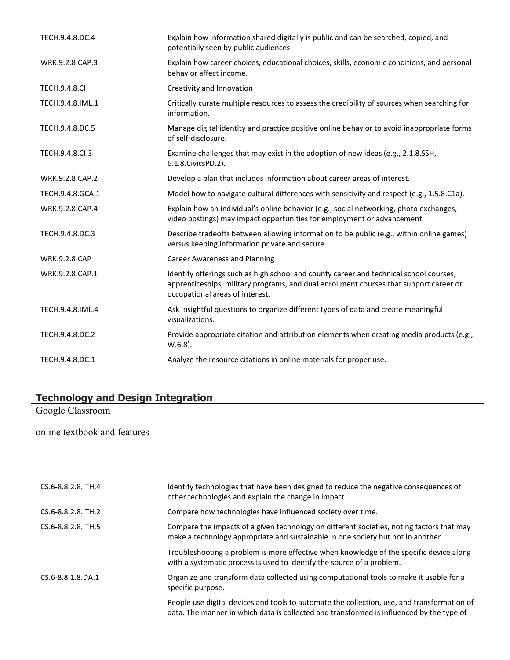| TECH.9.4.8.DC.4      | Explain how information shared digitally is public and can be searched, copied, and<br>potentially seen by public audiences.                                                                                        |
|----------------------|---------------------------------------------------------------------------------------------------------------------------------------------------------------------------------------------------------------------|
| WRK.9.2.8.CAP.3      | Explain how career choices, educational choices, skills, economic conditions, and personal<br>behavior affect income.                                                                                               |
| <b>TECH.9.4.8.CI</b> | Creativity and Innovation                                                                                                                                                                                           |
| TECH.9.4.8.IML.1     | Critically curate multiple resources to assess the credibility of sources when searching for<br>information.                                                                                                        |
| TECH.9.4.8.DC.5      | Manage digital identity and practice positive online behavior to avoid inappropriate forms<br>of self-disclosure.                                                                                                   |
| TECH.9.4.8.Cl.3      | Examine challenges that may exist in the adoption of new ideas (e.g., 2.1.8.SSH,<br>6.1.8. Civics PD. 2).                                                                                                           |
| WRK.9.2.8.CAP.2      | Develop a plan that includes information about career areas of interest.                                                                                                                                            |
| TECH.9.4.8.GCA.1     | Model how to navigate cultural differences with sensitivity and respect (e.g., 1.5.8.C1a).                                                                                                                          |
| WRK.9.2.8.CAP.4      | Explain how an individual's online behavior (e.g., social networking, photo exchanges,<br>video postings) may impact opportunities for employment or advancement.                                                   |
| TECH.9.4.8.DC.3      | Describe tradeoffs between allowing information to be public (e.g., within online games)<br>versus keeping information private and secure.                                                                          |
| <b>WRK.9.2.8.CAP</b> | <b>Career Awareness and Planning</b>                                                                                                                                                                                |
| WRK.9.2.8.CAP.1      | Identify offerings such as high school and county career and technical school courses,<br>apprenticeships, military programs, and dual enrollment courses that support career or<br>occupational areas of interest. |
| TECH.9.4.8.IML.4     | Ask insightful questions to organize different types of data and create meaningful<br>visualizations.                                                                                                               |
| TECH.9.4.8.DC.2      | Provide appropriate citation and attribution elements when creating media products (e.g.,<br>$W.6.8$ ).                                                                                                             |
| TECH.9.4.8.DC.1      | Analyze the resource citations in online materials for proper use.                                                                                                                                                  |

## **Technology and Design Integration**

Google Classroom

online textbook and features

| CS.6-8.8.2.8. ITH.4 | Identify technologies that have been designed to reduce the negative consequences of<br>other technologies and explain the change in impact.                                            |
|---------------------|-----------------------------------------------------------------------------------------------------------------------------------------------------------------------------------------|
| CS.6-8.8.2.8. ITH.2 | Compare how technologies have influenced society over time.                                                                                                                             |
| CS.6-8.8.2.8. ITH.5 | Compare the impacts of a given technology on different societies, noting factors that may<br>make a technology appropriate and sustainable in one society but not in another.           |
|                     | Troubleshooting a problem is more effective when knowledge of the specific device along<br>with a systematic process is used to identify the source of a problem.                       |
| CS.6-8.8.1.8.DA.1   | Organize and transform data collected using computational tools to make it usable for a<br>specific purpose.                                                                            |
|                     | People use digital devices and tools to automate the collection, use, and transformation of<br>data. The manner in which data is collected and transformed is influenced by the type of |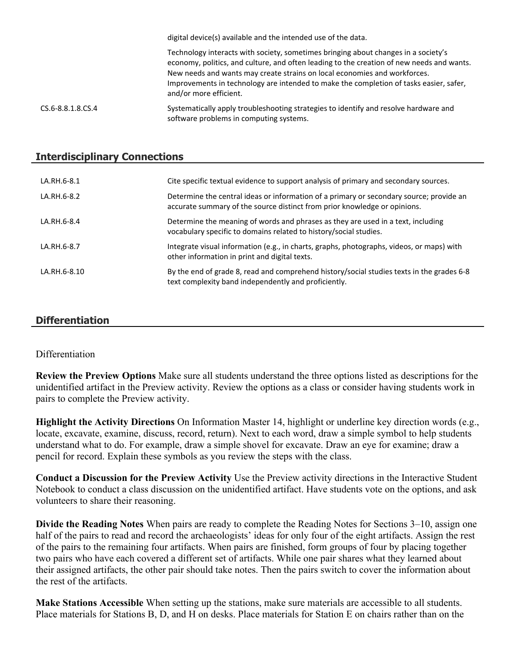digital device(s) available and the intended use of the data.

Technology interacts with society, sometimes bringing about changes in a society's economy, politics, and culture, and often leading to the creation of new needs and wants. New needs and wants may create strains on local economies and workforces. Improvements in technology are intended to make the completion of tasks easier, safer, and/or more efficient.

CS.6-8.8.1.8.CS.4 Systematically apply troubleshooting strategies to identify and resolve hardware and software problems in computing systems.

## **Interdisciplinary Connections**

| LA.RH.6-8.1  | Cite specific textual evidence to support analysis of primary and secondary sources.                                                                                 |
|--------------|----------------------------------------------------------------------------------------------------------------------------------------------------------------------|
| LA.RH.6-8.2  | Determine the central ideas or information of a primary or secondary source; provide an<br>accurate summary of the source distinct from prior knowledge or opinions. |
| LA.RH.6-8.4  | Determine the meaning of words and phrases as they are used in a text, including<br>vocabulary specific to domains related to history/social studies.                |
| LA.RH.6-8.7  | Integrate visual information (e.g., in charts, graphs, photographs, videos, or maps) with<br>other information in print and digital texts.                           |
| LA.RH.6-8.10 | By the end of grade 8, read and comprehend history/social studies texts in the grades 6-8<br>text complexity band independently and proficiently.                    |

## **Differentiation**

#### Differentiation

**Review the Preview Options** Make sure all students understand the three options listed as descriptions for the unidentified artifact in the Preview activity. Review the options as a class or consider having students work in pairs to complete the Preview activity.

**Highlight the Activity Directions** On Information Master 14, highlight or underline key direction words (e.g., locate, excavate, examine, discuss, record, return). Next to each word, draw a simple symbol to help students understand what to do. For example, draw a simple shovel for excavate. Draw an eye for examine; draw a pencil for record. Explain these symbols as you review the steps with the class.

**Conduct a Discussion for the Preview Activity** Use the Preview activity directions in the Interactive Student Notebook to conduct a class discussion on the unidentified artifact. Have students vote on the options, and ask volunteers to share their reasoning.

**Divide the Reading Notes** When pairs are ready to complete the Reading Notes for Sections 3–10, assign one half of the pairs to read and record the archaeologists' ideas for only four of the eight artifacts. Assign the rest of the pairs to the remaining four artifacts. When pairs are finished, form groups of four by placing together two pairs who have each covered a different set of artifacts. While one pair shares what they learned about their assigned artifacts, the other pair should take notes. Then the pairs switch to cover the information about the rest of the artifacts.

**Make Stations Accessible** When setting up the stations, make sure materials are accessible to all students. Place materials for Stations B, D, and H on desks. Place materials for Station E on chairs rather than on the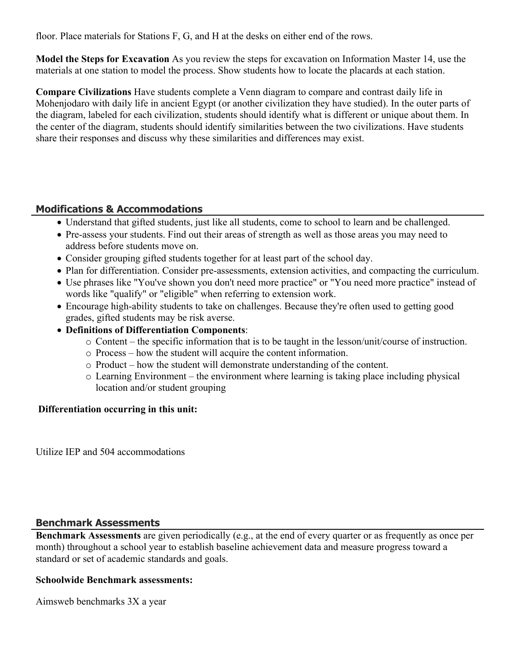floor. Place materials for Stations F, G, and H at the desks on either end of the rows.

**Model the Steps for Excavation** As you review the steps for excavation on Information Master 14, use the materials at one station to model the process. Show students how to locate the placards at each station.

**Compare Civilizations** Have students complete a Venn diagram to compare and contrast daily life in Mohenjodaro with daily life in ancient Egypt (or another civilization they have studied). In the outer parts of the diagram, labeled for each civilization, students should identify what is different or unique about them. In the center of the diagram, students should identify similarities between the two civilizations. Have students share their responses and discuss why these similarities and differences may exist.

## **Modifications & Accommodations**

- Understand that gifted students, just like all students, come to school to learn and be challenged.
- Pre-assess your students. Find out their areas of strength as well as those areas you may need to address before students move on.
- Consider grouping gifted students together for at least part of the school day.
- Plan for differentiation. Consider pre-assessments, extension activities, and compacting the curriculum.
- Use phrases like "You've shown you don't need more practice" or "You need more practice" instead of words like "qualify" or "eligible" when referring to extension work.
- Encourage high-ability students to take on challenges. Because they're often used to getting good grades, gifted students may be risk averse.
- **Definitions of Differentiation Components**:
	- o Content the specific information that is to be taught in the lesson/unit/course of instruction.
	- o Process how the student will acquire the content information.
	- o Product how the student will demonstrate understanding of the content.
	- o Learning Environment the environment where learning is taking place including physical location and/or student grouping

## **Differentiation occurring in this unit:**

Utilize IEP and 504 accommodations

## **Benchmark Assessments**

**Benchmark Assessments** are given periodically (e.g., at the end of every quarter or as frequently as once per month) throughout a school year to establish baseline achievement data and measure progress toward a standard or set of academic standards and goals.

## **Schoolwide Benchmark assessments:**

Aimsweb benchmarks 3X a year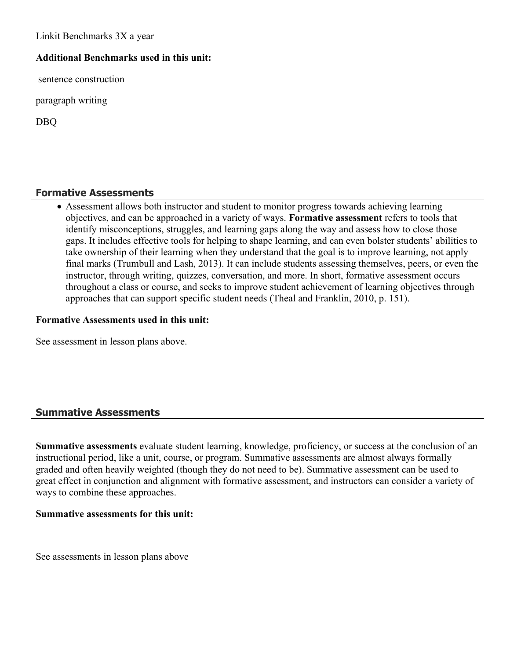Linkit Benchmarks 3X a year

## **Additional Benchmarks used in this unit:**

sentence construction

paragraph writing

DBQ

## **Formative Assessments**

 Assessment allows both instructor and student to monitor progress towards achieving learning objectives, and can be approached in a variety of ways. **Formative assessment** refers to tools that identify misconceptions, struggles, and learning gaps along the way and assess how to close those gaps. It includes effective tools for helping to shape learning, and can even bolster students' abilities to take ownership of their learning when they understand that the goal is to improve learning, not apply final marks (Trumbull and Lash, 2013). It can include students assessing themselves, peers, or even the instructor, through writing, quizzes, conversation, and more. In short, formative assessment occurs throughout a class or course, and seeks to improve student achievement of learning objectives through approaches that can support specific student needs (Theal and Franklin, 2010, p. 151).

#### **Formative Assessments used in this unit:**

See assessment in lesson plans above.

# **Summative Assessments**

**Summative assessments** evaluate student learning, knowledge, proficiency, or success at the conclusion of an instructional period, like a unit, course, or program. Summative assessments are almost always formally graded and often heavily weighted (though they do not need to be). Summative assessment can be used to great effect in conjunction and alignment with formative assessment, and instructors can consider a variety of ways to combine these approaches.

#### **Summative assessments for this unit:**

See assessments in lesson plans above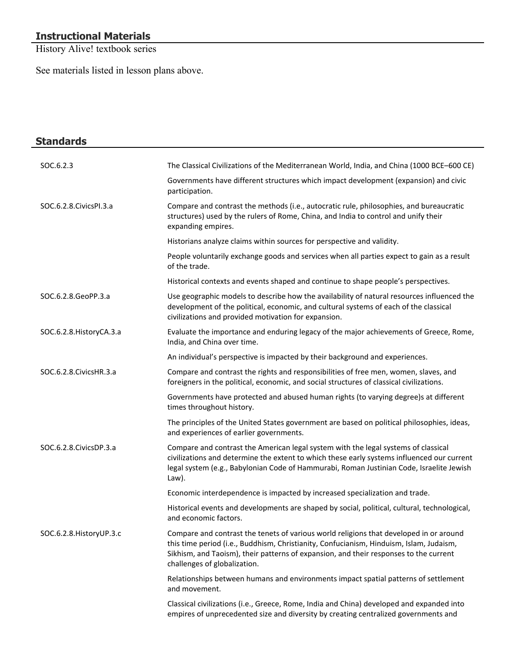# **Instructional Materials**

History Alive! textbook series

See materials listed in lesson plans above.

| <b>Standards</b>          |                                                                                                                                                                                                                                                                                                            |
|---------------------------|------------------------------------------------------------------------------------------------------------------------------------------------------------------------------------------------------------------------------------------------------------------------------------------------------------|
| SOC.6.2.3                 | The Classical Civilizations of the Mediterranean World, India, and China (1000 BCE-600 CE)                                                                                                                                                                                                                 |
|                           | Governments have different structures which impact development (expansion) and civic<br>participation.                                                                                                                                                                                                     |
| SOC.6.2.8. Civics PI.3.a  | Compare and contrast the methods (i.e., autocratic rule, philosophies, and bureaucratic<br>structures) used by the rulers of Rome, China, and India to control and unify their<br>expanding empires.                                                                                                       |
|                           | Historians analyze claims within sources for perspective and validity.                                                                                                                                                                                                                                     |
|                           | People voluntarily exchange goods and services when all parties expect to gain as a result<br>of the trade.                                                                                                                                                                                                |
|                           | Historical contexts and events shaped and continue to shape people's perspectives.                                                                                                                                                                                                                         |
| SOC.6.2.8.GeoPP.3.a       | Use geographic models to describe how the availability of natural resources influenced the<br>development of the political, economic, and cultural systems of each of the classical<br>civilizations and provided motivation for expansion.                                                                |
| SOC.6.2.8. History CA.3.a | Evaluate the importance and enduring legacy of the major achievements of Greece, Rome,<br>India, and China over time.                                                                                                                                                                                      |
|                           | An individual's perspective is impacted by their background and experiences.                                                                                                                                                                                                                               |
| SOC.6.2.8. Civics HR.3.a  | Compare and contrast the rights and responsibilities of free men, women, slaves, and<br>foreigners in the political, economic, and social structures of classical civilizations.                                                                                                                           |
|                           | Governments have protected and abused human rights (to varying degree)s at different<br>times throughout history.                                                                                                                                                                                          |
|                           | The principles of the United States government are based on political philosophies, ideas,<br>and experiences of earlier governments.                                                                                                                                                                      |
| SOC.6.2.8. Civics DP.3.a  | Compare and contrast the American legal system with the legal systems of classical<br>civilizations and determine the extent to which these early systems influenced our current<br>legal system (e.g., Babylonian Code of Hammurabi, Roman Justinian Code, Israelite Jewish<br>Law).                      |
|                           | Economic interdependence is impacted by increased specialization and trade.                                                                                                                                                                                                                                |
|                           | Historical events and developments are shaped by social, political, cultural, technological,<br>and economic factors.                                                                                                                                                                                      |
| SOC.6.2.8. History UP.3.c | Compare and contrast the tenets of various world religions that developed in or around<br>this time period (i.e., Buddhism, Christianity, Confucianism, Hinduism, Islam, Judaism,<br>Sikhism, and Taoism), their patterns of expansion, and their responses to the current<br>challenges of globalization. |
|                           | Relationships between humans and environments impact spatial patterns of settlement<br>and movement.                                                                                                                                                                                                       |
|                           | Classical civilizations (i.e., Greece, Rome, India and China) developed and expanded into<br>empires of unprecedented size and diversity by creating centralized governments and                                                                                                                           |